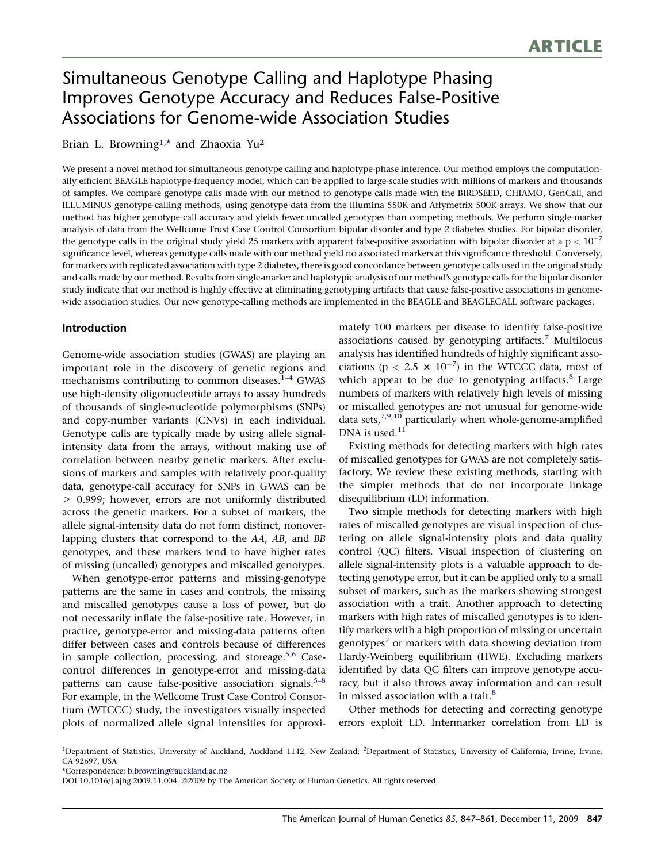# Simultaneous Genotype Calling and Haplotype Phasing Improves Genotype Accuracy and Reduces False-Positive Associations for Genome-wide Association Studies

Brian L. Browning<sup>1,\*</sup> and Zhaoxia Yu<sup>2</sup>

We present a novel method for simultaneous genotype calling and haplotype-phase inference. Our method employs the computationally efficient BEAGLE haplotype-frequency model, which can be applied to large-scale studies with millions of markers and thousands of samples. We compare genotype calls made with our method to genotype calls made with the BIRDSEED, CHIAMO, GenCall, and ILLUMINUS genotype-calling methods, using genotype data from the Illumina 550K and Affymetrix 500K arrays. We show that our method has higher genotype-call accuracy and yields fewer uncalled genotypes than competing methods. We perform single-marker analysis of data from the Wellcome Trust Case Control Consortium bipolar disorder and type 2 diabetes studies. For bipolar disorder, the genotype calls in the original study yield 25 markers with apparent false-positive association with bipolar disorder at a  $p < 10^{-7}$ significance level, whereas genotype calls made with our method yield no associated markers at this significance threshold. Conversely, for markers with replicated association with type 2 diabetes, there is good concordance between genotype calls used in the original study and calls made by our method. Results from single-marker and haplotypic analysis of our method's genotype calls for the bipolar disorder study indicate that our method is highly effective at eliminating genotyping artifacts that cause false-positive associations in genomewide association studies. Our new genotype-calling methods are implemented in the BEAGLE and BEAGLECALL software packages.

## Introduction

Genome-wide association studies (GWAS) are playing an important role in the discovery of genetic regions and mechanisms contributing to common diseases.<sup>1-4</sup> GWAS use high-density oligonucleotide arrays to assay hundreds of thousands of single-nucleotide polymorphisms (SNPs) and copy-number variants (CNVs) in each individual. Genotype calls are typically made by using allele signalintensity data from the arrays, without making use of correlation between nearby genetic markers. After exclusions of markers and samples with relatively poor-quality data, genotype-call accuracy for SNPs in GWAS can be  $\geq$  0.999; however, errors are not uniformly distributed across the genetic markers. For a subset of markers, the allele signal-intensity data do not form distinct, nonoverlapping clusters that correspond to the AA, AB, and BB genotypes, and these markers tend to have higher rates of missing (uncalled) genotypes and miscalled genotypes.

When genotype-error patterns and missing-genotype patterns are the same in cases and controls, the missing and miscalled genotypes cause a loss of power, but do not necessarily inflate the false-positive rate. However, in practice, genotype-error and missing-data patterns often differ between cases and controls because of differences in sample collection, processing, and storeage.<sup>[5,6](#page-13-0)</sup> Casecontrol differences in genotype-error and missing-data patterns can cause false-positive association signals.<sup>[5–8](#page-13-0)</sup> For example, in the Wellcome Trust Case Control Consortium (WTCCC) study, the investigators visually inspected plots of normalized allele signal intensities for approximately 100 markers per disease to identify false-positive associations caused by genotyping artifacts.<sup>[7](#page-13-0)</sup> Multilocus analysis has identified hundreds of highly significant associations ( $p < 2.5 \times 10^{-7}$ ) in the WTCCC data, most of which appear to be due to genotyping artifacts. $8$  Large numbers of markers with relatively high levels of missing or miscalled genotypes are not unusual for genome-wide data sets, $^{7,9,10}$  $^{7,9,10}$  $^{7,9,10}$  particularly when whole-genome-amplified DNA is used.<sup>[11](#page-13-0)</sup>

Existing methods for detecting markers with high rates of miscalled genotypes for GWAS are not completely satisfactory. We review these existing methods, starting with the simpler methods that do not incorporate linkage disequilibrium (LD) information.

Two simple methods for detecting markers with high rates of miscalled genotypes are visual inspection of clustering on allele signal-intensity plots and data quality control (QC) filters. Visual inspection of clustering on allele signal-intensity plots is a valuable approach to detecting genotype error, but it can be applied only to a small subset of markers, such as the markers showing strongest association with a trait. Another approach to detecting markers with high rates of miscalled genotypes is to identify markers with a high proportion of missing or uncertain genotypes<sup> $\sigma$ </sup> or markers with data showing deviation from Hardy-Weinberg equilibrium (HWE). Excluding markers identified by data QC filters can improve genotype accuracy, but it also throws away information and can result in missed association with a trait.<sup>[8](#page-13-0)</sup>

Other methods for detecting and correcting genotype errors exploit LD. Intermarker correlation from LD is

<sup>&</sup>lt;sup>1</sup>Department of Statistics, University of Auckland, Auckland 1142, New Zealand; <sup>2</sup>Department of Statistics, University of California, Irvine, Irvine, CA 92697, USA

<sup>\*</sup>Correspondence: [b.browning@auckland.ac.nz](mailto:b.browning@auckland.ac.nz)

DOI 10.1016/j.ajhg.2009.11.004. @2009 by The American Society of Human Genetics. All rights reserved.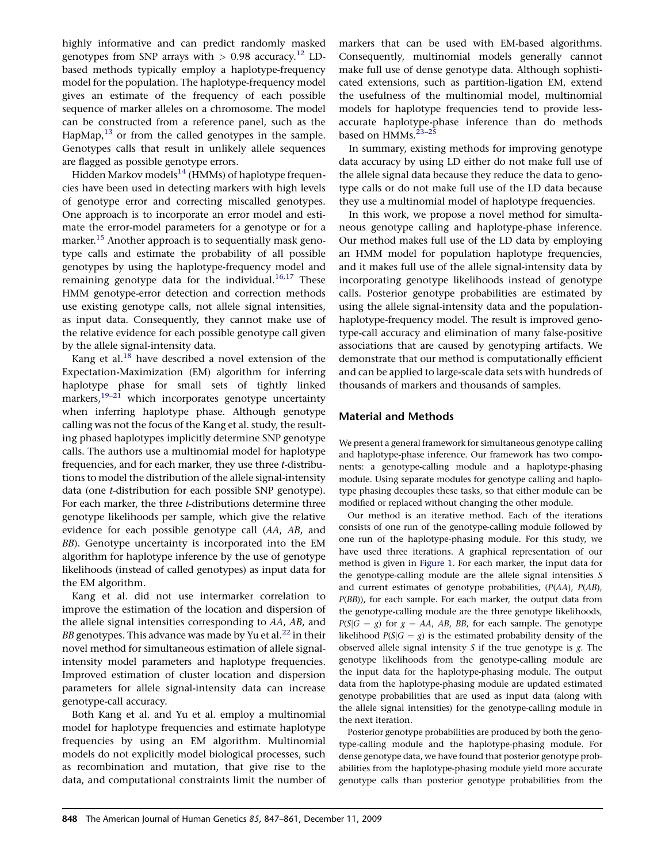<span id="page-1-0"></span>highly informative and can predict randomly masked genotypes from SNP arrays with  $> 0.98$  accuracy.<sup>[12](#page-13-0)</sup> LDbased methods typically employ a haplotype-frequency model for the population. The haplotype-frequency model gives an estimate of the frequency of each possible sequence of marker alleles on a chromosome. The model can be constructed from a reference panel, such as the HapMap, $^{13}$  $^{13}$  $^{13}$  or from the called genotypes in the sample. Genotypes calls that result in unlikely allele sequences are flagged as possible genotype errors.

Hidden Markov models<sup>[14](#page-13-0)</sup> (HMMs) of haplotype frequencies have been used in detecting markers with high levels of genotype error and correcting miscalled genotypes. One approach is to incorporate an error model and estimate the error-model parameters for a genotype or for a marker.<sup>15</sup> Another approach is to sequentially mask genotype calls and estimate the probability of all possible genotypes by using the haplotype-frequency model and remaining genotype data for the individual. $16,17$  These HMM genotype-error detection and correction methods use existing genotype calls, not allele signal intensities, as input data. Consequently, they cannot make use of the relative evidence for each possible genotype call given by the allele signal-intensity data.

Kang et al. $^{18}$  $^{18}$  $^{18}$  have described a novel extension of the Expectation-Maximization (EM) algorithm for inferring haplotype phase for small sets of tightly linked markers, $19-21$  which incorporates genotype uncertainty when inferring haplotype phase. Although genotype calling was not the focus of the Kang et al. study, the resulting phased haplotypes implicitly determine SNP genotype calls. The authors use a multinomial model for haplotype frequencies, and for each marker, they use three t-distributions to model the distribution of the allele signal-intensity data (one t-distribution for each possible SNP genotype). For each marker, the three t-distributions determine three genotype likelihoods per sample, which give the relative evidence for each possible genotype call (AA, AB, and BB). Genotype uncertainty is incorporated into the EM algorithm for haplotype inference by the use of genotype likelihoods (instead of called genotypes) as input data for the EM algorithm.

Kang et al. did not use intermarker correlation to improve the estimation of the location and dispersion of the allele signal intensities corresponding to AA, AB, and BB genotypes. This advance was made by Yu et al. $^{22}$  $^{22}$  $^{22}$  in their novel method for simultaneous estimation of allele signalintensity model parameters and haplotype frequencies. Improved estimation of cluster location and dispersion parameters for allele signal-intensity data can increase genotype-call accuracy.

Both Kang et al. and Yu et al. employ a multinomial model for haplotype frequencies and estimate haplotype frequencies by using an EM algorithm. Multinomial models do not explicitly model biological processes, such as recombination and mutation, that give rise to the data, and computational constraints limit the number of markers that can be used with EM-based algorithms. Consequently, multinomial models generally cannot make full use of dense genotype data. Although sophisticated extensions, such as partition-ligation EM, extend the usefulness of the multinomial model, multinomial models for haplotype frequencies tend to provide lessaccurate haplotype-phase inference than do methods based on HMMs.<sup>23-25</sup>

In summary, existing methods for improving genotype data accuracy by using LD either do not make full use of the allele signal data because they reduce the data to genotype calls or do not make full use of the LD data because they use a multinomial model of haplotype frequencies.

In this work, we propose a novel method for simultaneous genotype calling and haplotype-phase inference. Our method makes full use of the LD data by employing an HMM model for population haplotype frequencies, and it makes full use of the allele signal-intensity data by incorporating genotype likelihoods instead of genotype calls. Posterior genotype probabilities are estimated by using the allele signal-intensity data and the populationhaplotype-frequency model. The result is improved genotype-call accuracy and elimination of many false-positive associations that are caused by genotyping artifacts. We demonstrate that our method is computationally efficient and can be applied to large-scale data sets with hundreds of thousands of markers and thousands of samples.

## Material and Methods

We present a general framework for simultaneous genotype calling and haplotype-phase inference. Our framework has two components: a genotype-calling module and a haplotype-phasing module. Using separate modules for genotype calling and haplotype phasing decouples these tasks, so that either module can be modified or replaced without changing the other module.

Our method is an iterative method. Each of the iterations consists of one run of the genotype-calling module followed by one run of the haplotype-phasing module. For this study, we have used three iterations. A graphical representation of our method is given in [Figure 1.](#page-2-0) For each marker, the input data for the genotype-calling module are the allele signal intensities S and current estimates of genotype probabilities,  $(P(AA), P(AB), P(AB))$  $P(BB)$ ), for each sample. For each marker, the output data from the genotype-calling module are the three genotype likelihoods,  $P(S|G = g)$  for  $g = AA$ , AB, BB, for each sample. The genotype likelihood  $P(S|G = g)$  is the estimated probability density of the observed allele signal intensity S if the true genotype is  $g$ . The genotype likelihoods from the genotype-calling module are the input data for the haplotype-phasing module. The output data from the haplotype-phasing module are updated estimated genotype probabilities that are used as input data (along with the allele signal intensities) for the genotype-calling module in the next iteration.

Posterior genotype probabilities are produced by both the genotype-calling module and the haplotype-phasing module. For dense genotype data, we have found that posterior genotype probabilities from the haplotype-phasing module yield more accurate genotype calls than posterior genotype probabilities from the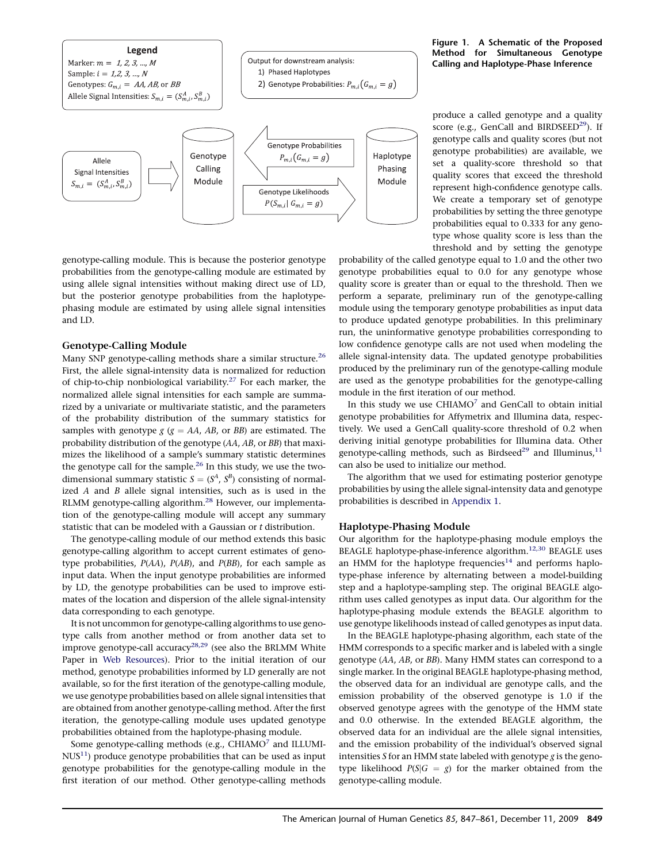<span id="page-2-0"></span>

genotype-calling module. This is because the posterior genotype probabilities from the genotype-calling module are estimated by using allele signal intensities without making direct use of LD, but the posterior genotype probabilities from the haplotypephasing module are estimated by using allele signal intensities and LD.

#### Genotype-Calling Module

Many SNP genotype-calling methods share a similar structure.<sup>[26](#page-14-0)</sup> First, the allele signal-intensity data is normalized for reduction of chip-to-chip nonbiological variability.<sup>[27](#page-14-0)</sup> For each marker, the normalized allele signal intensities for each sample are summarized by a univariate or multivariate statistic, and the parameters of the probability distribution of the summary statistics for samples with genotype  $g$  ( $g = AA$ , AB, or BB) are estimated. The probability distribution of the genotype (AA, AB, or BB) that maximizes the likelihood of a sample's summary statistic determines the genotype call for the sample.<sup>[26](#page-14-0)</sup> In this study, we use the twodimensional summary statistic  $S = (S^A, S^B)$  consisting of normalized  $A$  and  $B$  allele signal intensities, such as is used in the RLMM genotype-calling algorithm[.28](#page-14-0) However, our implementation of the genotype-calling module will accept any summary statistic that can be modeled with a Gaussian or t distribution.

The genotype-calling module of our method extends this basic genotype-calling algorithm to accept current estimates of genotype probabilities,  $P(AA)$ ,  $P(AB)$ , and  $P(BB)$ , for each sample as input data. When the input genotype probabilities are informed by LD, the genotype probabilities can be used to improve estimates of the location and dispersion of the allele signal-intensity data corresponding to each genotype.

It is not uncommon for genotype-calling algorithms to use genotype calls from another method or from another data set to improve genotype-call accuracy $^{28,29}$  (see also the BRLMM White Paper in [Web Resources](#page-13-0)). Prior to the initial iteration of our method, genotype probabilities informed by LD generally are not available, so for the first iteration of the genotype-calling module, we use genotype probabilities based on allele signal intensities that are obtained from another genotype-calling method. After the first iteration, the genotype-calling module uses updated genotype probabilities obtained from the haplotype-phasing module.

Some genotype-calling methods (e.g., CHIAMO $^7$  and ILLUMI- $NUS<sup>11</sup>$ ) produce genotype probabilities that can be used as input genotype probabilities for the genotype-calling module in the first iteration of our method. Other genotype-calling methods

Figure 1. A Schematic of the Proposed Method for Simultaneous Genotype Calling and Haplotype-Phase Inference

produce a called genotype and a quality score (e.g., GenCall and BIRDSEED<sup>[29](#page-14-0)</sup>). If genotype calls and quality scores (but not genotype probabilities) are available, we set a quality-score threshold so that quality scores that exceed the threshold represent high-confidence genotype calls. We create a temporary set of genotype probabilities by setting the three genotype probabilities equal to 0.333 for any genotype whose quality score is less than the threshold and by setting the genotype

probability of the called genotype equal to 1.0 and the other two genotype probabilities equal to 0.0 for any genotype whose quality score is greater than or equal to the threshold. Then we perform a separate, preliminary run of the genotype-calling module using the temporary genotype probabilities as input data to produce updated genotype probabilities. In this preliminary run, the uninformative genotype probabilities corresponding to low confidence genotype calls are not used when modeling the allele signal-intensity data. The updated genotype probabilities produced by the preliminary run of the genotype-calling module are used as the genotype probabilities for the genotype-calling module in the first iteration of our method.

In this study we use  $CHIAMO<sup>7</sup>$  $CHIAMO<sup>7</sup>$  $CHIAMO<sup>7</sup>$  and GenCall to obtain initial genotype probabilities for Affymetrix and Illumina data, respectively. We used a GenCall quality-score threshold of 0.2 when deriving initial genotype probabilities for Illumina data. Other genotype-calling methods, such as Birdseed<sup>29</sup> and Illuminus,<sup>[11](#page-13-0)</sup> can also be used to initialize our method.

The algorithm that we used for estimating posterior genotype probabilities by using the allele signal-intensity data and genotype probabilities is described in [Appendix 1.](#page-10-0)

#### Haplotype-Phasing Module

Our algorithm for the haplotype-phasing module employs the BEAGLE haplotype-phase-inference algorithm.<sup>[12,30](#page-13-0)</sup> BEAGLE uses an HMM for the haplotype frequencies<sup>14</sup> and performs haplotype-phase inference by alternating between a model-building step and a haplotype-sampling step. The original BEAGLE algorithm uses called genotypes as input data. Our algorithm for the haplotype-phasing module extends the BEAGLE algorithm to use genotype likelihoods instead of called genotypes as input data.

In the BEAGLE haplotype-phasing algorithm, each state of the HMM corresponds to a specific marker and is labeled with a single genotype (AA, AB, or BB). Many HMM states can correspond to a single marker. In the original BEAGLE haplotype-phasing method, the observed data for an individual are genotype calls, and the emission probability of the observed genotype is 1.0 if the observed genotype agrees with the genotype of the HMM state and 0.0 otherwise. In the extended BEAGLE algorithm, the observed data for an individual are the allele signal intensities, and the emission probability of the individual's observed signal intensities  $S$  for an HMM state labeled with genotype  $g$  is the genotype likelihood  $P(S|G = g)$  for the marker obtained from the genotype-calling module.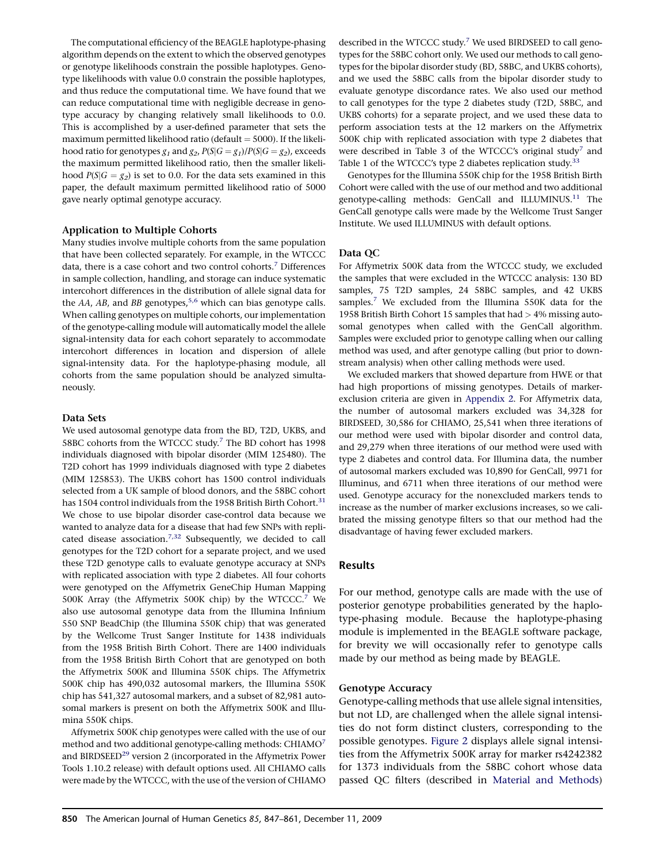<span id="page-3-0"></span>The computational efficiency of the BEAGLE haplotype-phasing algorithm depends on the extent to which the observed genotypes or genotype likelihoods constrain the possible haplotypes. Genotype likelihoods with value 0.0 constrain the possible haplotypes, and thus reduce the computational time. We have found that we can reduce computational time with negligible decrease in genotype accuracy by changing relatively small likelihoods to 0.0. This is accomplished by a user-defined parameter that sets the maximum permitted likelihood ratio (default  $=$  5000). If the likelihood ratio for genotypes  $g_1$  and  $g_2$ ,  $P(S|G = g_1)/P(S|G = g_2)$ , exceeds the maximum permitted likelihood ratio, then the smaller likelihood  $P(S|G = g_2)$  is set to 0.0. For the data sets examined in this paper, the default maximum permitted likelihood ratio of 5000 gave nearly optimal genotype accuracy.

#### Application to Multiple Cohorts

Many studies involve multiple cohorts from the same population that have been collected separately. For example, in the WTCCC data, there is a case cohort and two control cohorts.<sup>[7](#page-13-0)</sup> Differences in sample collection, handling, and storage can induce systematic intercohort differences in the distribution of allele signal data for the  $AA$ ,  $AB$ , and  $BB$  genotypes,<sup>[5,6](#page-13-0)</sup> which can bias genotype calls. When calling genotypes on multiple cohorts, our implementation of the genotype-calling module will automatically model the allele signal-intensity data for each cohort separately to accommodate intercohort differences in location and dispersion of allele signal-intensity data. For the haplotype-phasing module, all cohorts from the same population should be analyzed simultaneously.

#### Data Sets

We used autosomal genotype data from the BD, T2D, UKBS, and 58BC cohorts from the WTCCC study.<sup>7</sup> The BD cohort has 1998 individuals diagnosed with bipolar disorder (MIM 125480). The T2D cohort has 1999 individuals diagnosed with type 2 diabetes (MIM 125853). The UKBS cohort has 1500 control individuals selected from a UK sample of blood donors, and the 58BC cohort has 1504 control individuals from the 1958 British Birth Cohort.<sup>[31](#page-14-0)</sup> We chose to use bipolar disorder case-control data because we wanted to analyze data for a disease that had few SNPs with repli-cated disease association.<sup>[7,32](#page-13-0)</sup> Subsequently, we decided to call genotypes for the T2D cohort for a separate project, and we used these T2D genotype calls to evaluate genotype accuracy at SNPs with replicated association with type 2 diabetes. All four cohorts were genotyped on the Affymetrix GeneChip Human Mapping 500K Array (the Affymetrix 500K chip) by the WTCCC.<sup>7</sup> We also use autosomal genotype data from the Illumina Infinium 550 SNP BeadChip (the Illumina 550K chip) that was generated by the Wellcome Trust Sanger Institute for 1438 individuals from the 1958 British Birth Cohort. There are 1400 individuals from the 1958 British Birth Cohort that are genotyped on both the Affymetrix 500K and Illumina 550K chips. The Affymetrix 500K chip has 490,032 autosomal markers, the Illumina 550K chip has 541,327 autosomal markers, and a subset of 82,981 autosomal markers is present on both the Affymetrix 500K and Illumina 550K chips.

Affymetrix 500K chip genotypes were called with the use of our method and two additional genotype-calling methods: CHIAMO<sup>7</sup> and BIRDSEED<sup>[29](#page-14-0)</sup> version 2 (incorporated in the Affymetrix Power Tools 1.10.2 release) with default options used. All CHIAMO calls were made by the WTCCC, with the use of the version of CHIAMO

described in the WTCCC study.<sup>[7](#page-13-0)</sup> We used BIRDSEED to call genotypes for the 58BC cohort only. We used our methods to call genotypes for the bipolar disorder study (BD, 58BC, and UKBS cohorts), and we used the 58BC calls from the bipolar disorder study to evaluate genotype discordance rates. We also used our method to call genotypes for the type 2 diabetes study (T2D, 58BC, and UKBS cohorts) for a separate project, and we used these data to perform association tests at the 12 markers on the Affymetrix 500K chip with replicated association with type 2 diabetes that were described in Table 3 of the WTCCC's original study<sup>[7](#page-13-0)</sup> and Table 1 of the WTCCC's type 2 diabetes replication study.<sup>33</sup>

Genotypes for the Illumina 550K chip for the 1958 British Birth Cohort were called with the use of our method and two additional genotype-calling methods: GenCall and ILLUMINUS.<sup>11</sup> The GenCall genotype calls were made by the Wellcome Trust Sanger Institute. We used ILLUMINUS with default options.

#### Data QC

For Affymetrix 500K data from the WTCCC study, we excluded the samples that were excluded in the WTCCC analysis: 130 BD samples, 75 T2D samples, 24 58BC samples, and 42 UKBS samples.<sup>[7](#page-13-0)</sup> We excluded from the Illumina 550K data for the 1958 British Birth Cohort 15 samples that had > 4% missing autosomal genotypes when called with the GenCall algorithm. Samples were excluded prior to genotype calling when our calling method was used, and after genotype calling (but prior to downstream analysis) when other calling methods were used.

We excluded markers that showed departure from HWE or that had high proportions of missing genotypes. Details of markerexclusion criteria are given in [Appendix 2.](#page-12-0) For Affymetrix data, the number of autosomal markers excluded was 34,328 for BIRDSEED, 30,586 for CHIAMO, 25,541 when three iterations of our method were used with bipolar disorder and control data, and 29,279 when three iterations of our method were used with type 2 diabetes and control data. For Illumina data, the number of autosomal markers excluded was 10,890 for GenCall, 9971 for Illuminus, and 6711 when three iterations of our method were used. Genotype accuracy for the nonexcluded markers tends to increase as the number of marker exclusions increases, so we calibrated the missing genotype filters so that our method had the disadvantage of having fewer excluded markers.

## Results

For our method, genotype calls are made with the use of posterior genotype probabilities generated by the haplotype-phasing module. Because the haplotype-phasing module is implemented in the BEAGLE software package, for brevity we will occasionally refer to genotype calls made by our method as being made by BEAGLE.

#### Genotype Accuracy

Genotype-calling methods that use allele signal intensities, but not LD, are challenged when the allele signal intensities do not form distinct clusters, corresponding to the possible genotypes. [Figure 2](#page-4-0) displays allele signal intensities from the Affymetrix 500K array for marker rs4242382 for 1373 individuals from the 58BC cohort whose data passed QC filters (described in [Material and Methods\)](#page-1-0)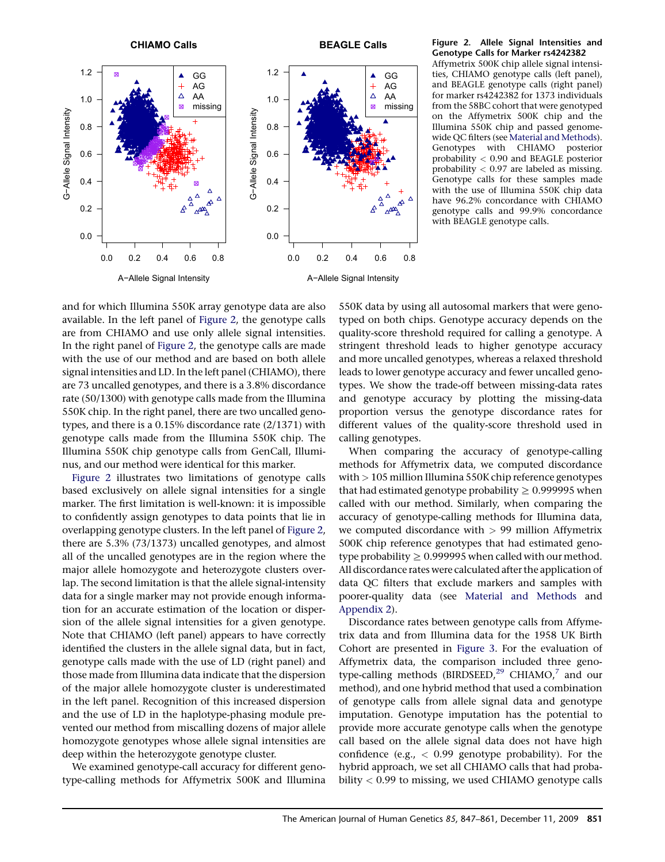<span id="page-4-0"></span>

#### Figure 2. Allele Signal Intensities and Genotype Calls for Marker rs4242382

Affymetrix 500K chip allele signal intensities, CHIAMO genotype calls (left panel), and BEAGLE genotype calls (right panel) for marker rs4242382 for 1373 individuals from the 58BC cohort that were genotyped on the Affymetrix 500K chip and the Illumina 550K chip and passed genomewide QC filters (see [Material and Methods\)](#page-1-0). Genotypes with CHIAMO posterior probability < 0.90 and BEAGLE posterior probability  $< 0.97$  are labeled as missing. Genotype calls for these samples made with the use of Illumina 550K chip data have 96.2% concordance with CHIAMO genotype calls and 99.9% concordance with BEAGLE genotype calls.

and for which Illumina 550K array genotype data are also available. In the left panel of Figure 2, the genotype calls are from CHIAMO and use only allele signal intensities. In the right panel of Figure 2, the genotype calls are made with the use of our method and are based on both allele signal intensities and LD. In the left panel (CHIAMO), there are 73 uncalled genotypes, and there is a 3.8% discordance rate (50/1300) with genotype calls made from the Illumina 550K chip. In the right panel, there are two uncalled genotypes, and there is a 0.15% discordance rate (2/1371) with genotype calls made from the Illumina 550K chip. The Illumina 550K chip genotype calls from GenCall, Illuminus, and our method were identical for this marker.

Figure 2 illustrates two limitations of genotype calls based exclusively on allele signal intensities for a single marker. The first limitation is well-known: it is impossible to confidently assign genotypes to data points that lie in overlapping genotype clusters. In the left panel of Figure 2, there are 5.3% (73/1373) uncalled genotypes, and almost all of the uncalled genotypes are in the region where the major allele homozygote and heterozygote clusters overlap. The second limitation is that the allele signal-intensity data for a single marker may not provide enough information for an accurate estimation of the location or dispersion of the allele signal intensities for a given genotype. Note that CHIAMO (left panel) appears to have correctly identified the clusters in the allele signal data, but in fact, genotype calls made with the use of LD (right panel) and those made from Illumina data indicate that the dispersion of the major allele homozygote cluster is underestimated in the left panel. Recognition of this increased dispersion and the use of LD in the haplotype-phasing module prevented our method from miscalling dozens of major allele homozygote genotypes whose allele signal intensities are deep within the heterozygote genotype cluster.

We examined genotype-call accuracy for different genotype-calling methods for Affymetrix 500K and Illumina 550K data by using all autosomal markers that were genotyped on both chips. Genotype accuracy depends on the quality-score threshold required for calling a genotype. A stringent threshold leads to higher genotype accuracy and more uncalled genotypes, whereas a relaxed threshold leads to lower genotype accuracy and fewer uncalled genotypes. We show the trade-off between missing-data rates and genotype accuracy by plotting the missing-data proportion versus the genotype discordance rates for different values of the quality-score threshold used in calling genotypes.

When comparing the accuracy of genotype-calling methods for Affymetrix data, we computed discordance with > 105 million Illumina 550K chip reference genotypes that had estimated genotype probability  $\geq 0.999995$  when called with our method. Similarly, when comparing the accuracy of genotype-calling methods for Illumina data, we computed discordance with  $> 99$  million Affymetrix 500K chip reference genotypes that had estimated genotype probability  $\geq 0.999995$  when called with our method. All discordance rates were calculated after the application of data QC filters that exclude markers and samples with poorer-quality data (see [Material and Methods](#page-1-0) and [Appendix 2](#page-12-0)).

Discordance rates between genotype calls from Affymetrix data and from Illumina data for the 1958 UK Birth Cohort are presented in [Figure 3.](#page-5-0) For the evaluation of Affymetrix data, the comparison included three geno-type-calling methods (BIRDSEED,<sup>[29](#page-14-0)</sup> CHIAMO,<sup>[7](#page-13-0)</sup> and our method), and one hybrid method that used a combination of genotype calls from allele signal data and genotype imputation. Genotype imputation has the potential to provide more accurate genotype calls when the genotype call based on the allele signal data does not have high confidence (e.g.,  $< 0.99$  genotype probability). For the hybrid approach, we set all CHIAMO calls that had probability < 0.99 to missing, we used CHIAMO genotype calls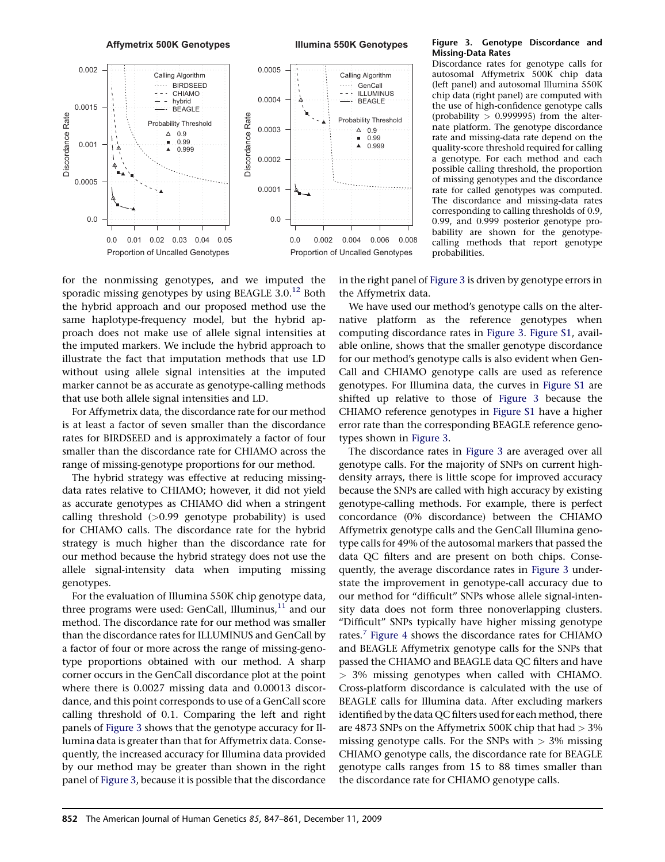**Affymetrix 500K Genotypes**

**Illumina 550K Genotypes**

<span id="page-5-0"></span>

#### Figure 3. Genotype Discordance and Missing-Data Rates

Discordance rates for genotype calls for autosomal Affymetrix 500K chip data (left panel) and autosomal Illumina 550K chip data (right panel) are computed with the use of high-confidence genotype calls (probability  $> 0.999995$ ) from the alternate platform. The genotype discordance rate and missing-data rate depend on the quality-score threshold required for calling a genotype. For each method and each possible calling threshold, the proportion of missing genotypes and the discordance rate for called genotypes was computed. The discordance and missing-data rates corresponding to calling thresholds of 0.9, 0.99, and 0.999 posterior genotype probability are shown for the genotypecalling methods that report genotype probabilities.

for the nonmissing genotypes, and we imputed the sporadic missing genotypes by using BEAGLE  $3.0^{12}$  $3.0^{12}$  $3.0^{12}$  Both the hybrid approach and our proposed method use the same haplotype-frequency model, but the hybrid approach does not make use of allele signal intensities at the imputed markers. We include the hybrid approach to illustrate the fact that imputation methods that use LD without using allele signal intensities at the imputed marker cannot be as accurate as genotype-calling methods that use both allele signal intensities and LD.

For Affymetrix data, the discordance rate for our method is at least a factor of seven smaller than the discordance rates for BIRDSEED and is approximately a factor of four smaller than the discordance rate for CHIAMO across the range of missing-genotype proportions for our method.

The hybrid strategy was effective at reducing missingdata rates relative to CHIAMO; however, it did not yield as accurate genotypes as CHIAMO did when a stringent calling threshold  $(>0.99$  genotype probability) is used for CHIAMO calls. The discordance rate for the hybrid strategy is much higher than the discordance rate for our method because the hybrid strategy does not use the allele signal-intensity data when imputing missing genotypes.

For the evaluation of Illumina 550K chip genotype data, three programs were used: GenCall, Illuminus, $^{11}$  $^{11}$  $^{11}$  and our method. The discordance rate for our method was smaller than the discordance rates for ILLUMINUS and GenCall by a factor of four or more across the range of missing-genotype proportions obtained with our method. A sharp corner occurs in the GenCall discordance plot at the point where there is 0.0027 missing data and 0.00013 discordance, and this point corresponds to use of a GenCall score calling threshold of 0.1. Comparing the left and right panels of Figure 3 shows that the genotype accuracy for Illumina data is greater than that for Affymetrix data. Consequently, the increased accuracy for Illumina data provided by our method may be greater than shown in the right panel of Figure 3, because it is possible that the discordance

in the right panel of Figure 3 is driven by genotype errors in the Affymetrix data.

We have used our method's genotype calls on the alternative platform as the reference genotypes when computing discordance rates in Figure 3. [Figure S1,](#page-12-0) available online, shows that the smaller genotype discordance for our method's genotype calls is also evident when Gen-Call and CHIAMO genotype calls are used as reference genotypes. For Illumina data, the curves in [Figure S1](#page-12-0) are shifted up relative to those of Figure 3 because the CHIAMO reference genotypes in [Figure S1](#page-12-0) have a higher error rate than the corresponding BEAGLE reference genotypes shown in Figure 3.

The discordance rates in Figure 3 are averaged over all genotype calls. For the majority of SNPs on current highdensity arrays, there is little scope for improved accuracy because the SNPs are called with high accuracy by existing genotype-calling methods. For example, there is perfect concordance (0% discordance) between the CHIAMO Affymetrix genotype calls and the GenCall Illumina genotype calls for 49% of the autosomal markers that passed the data QC filters and are present on both chips. Consequently, the average discordance rates in Figure 3 understate the improvement in genotype-call accuracy due to our method for ''difficult'' SNPs whose allele signal-intensity data does not form three nonoverlapping clusters. ''Difficult'' SNPs typically have higher missing genotype rates.<sup>[7](#page-13-0)</sup> [Figure 4](#page-6-0) shows the discordance rates for CHIAMO and BEAGLE Affymetrix genotype calls for the SNPs that passed the CHIAMO and BEAGLE data QC filters and have > 3% missing genotypes when called with CHIAMO. Cross-platform discordance is calculated with the use of BEAGLE calls for Illumina data. After excluding markers identified by the data QC filters used for each method, there are 4873 SNPs on the Affymetrix 500K chip that had  $> 3\%$ missing genotype calls. For the SNPs with  $>$  3% missing CHIAMO genotype calls, the discordance rate for BEAGLE genotype calls ranges from 15 to 88 times smaller than the discordance rate for CHIAMO genotype calls.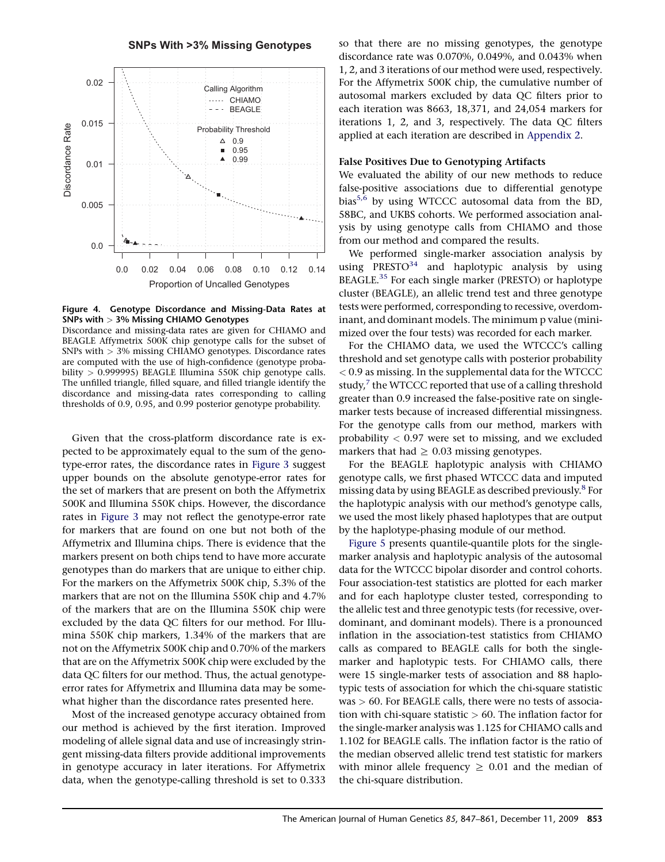#### **SNPs With >3% Missing Genotypes**

<span id="page-6-0"></span>

Figure 4. Genotype Discordance and Missing-Data Rates at SNPs with > 3% Missing CHIAMO Genotypes

Discordance and missing-data rates are given for CHIAMO and BEAGLE Affymetrix 500K chip genotype calls for the subset of SNPs with > 3% missing CHIAMO genotypes. Discordance rates are computed with the use of high-confidence (genotype probability > 0.999995) BEAGLE Illumina 550K chip genotype calls. The unfilled triangle, filled square, and filled triangle identify the discordance and missing-data rates corresponding to calling thresholds of 0.9, 0.95, and 0.99 posterior genotype probability.

Given that the cross-platform discordance rate is expected to be approximately equal to the sum of the genotype-error rates, the discordance rates in [Figure 3](#page-5-0) suggest upper bounds on the absolute genotype-error rates for the set of markers that are present on both the Affymetrix 500K and Illumina 550K chips. However, the discordance rates in [Figure 3](#page-5-0) may not reflect the genotype-error rate for markers that are found on one but not both of the Affymetrix and Illumina chips. There is evidence that the markers present on both chips tend to have more accurate genotypes than do markers that are unique to either chip. For the markers on the Affymetrix 500K chip, 5.3% of the markers that are not on the Illumina 550K chip and 4.7% of the markers that are on the Illumina 550K chip were excluded by the data QC filters for our method. For Illumina 550K chip markers, 1.34% of the markers that are not on the Affymetrix 500K chip and 0.70% of the markers that are on the Affymetrix 500K chip were excluded by the data QC filters for our method. Thus, the actual genotypeerror rates for Affymetrix and Illumina data may be somewhat higher than the discordance rates presented here.

Most of the increased genotype accuracy obtained from our method is achieved by the first iteration. Improved modeling of allele signal data and use of increasingly stringent missing-data filters provide additional improvements in genotype accuracy in later iterations. For Affymetrix data, when the genotype-calling threshold is set to 0.333

so that there are no missing genotypes, the genotype discordance rate was 0.070%, 0.049%, and 0.043% when 1, 2, and 3 iterations of our method were used, respectively. For the Affymetrix 500K chip, the cumulative number of autosomal markers excluded by data QC filters prior to each iteration was 8663, 18,371, and 24,054 markers for iterations 1, 2, and 3, respectively. The data QC filters applied at each iteration are described in [Appendix 2.](#page-12-0)

#### False Positives Due to Genotyping Artifacts

We evaluated the ability of our new methods to reduce false-positive associations due to differential genotype bias<sup>[5,6](#page-13-0)</sup> by using WTCCC autosomal data from the BD, 58BC, and UKBS cohorts. We performed association analysis by using genotype calls from CHIAMO and those from our method and compared the results.

We performed single-marker association analysis by using PRESTO $34$  and haplotypic analysis by using BEAGLE.<sup>35</sup> For each single marker (PRESTO) or haplotype cluster (BEAGLE), an allelic trend test and three genotype tests were performed, corresponding to recessive, overdominant, and dominant models. The minimum p value (minimized over the four tests) was recorded for each marker.

For the CHIAMO data, we used the WTCCC's calling threshold and set genotype calls with posterior probability < 0.9 as missing. In the supplemental data for the WTCCC study, $^7$  $^7$  the WTCCC reported that use of a calling threshold greater than 0.9 increased the false-positive rate on singlemarker tests because of increased differential missingness. For the genotype calls from our method, markers with probability  $< 0.97$  were set to missing, and we excluded markers that had  $\geq 0.03$  missing genotypes.

For the BEAGLE haplotypic analysis with CHIAMO genotype calls, we first phased WTCCC data and imputed missing data by using BEAGLE as described previously.<sup>[8](#page-13-0)</sup> For the haplotypic analysis with our method's genotype calls, we used the most likely phased haplotypes that are output by the haplotype-phasing module of our method.

[Figure 5](#page-7-0) presents quantile-quantile plots for the singlemarker analysis and haplotypic analysis of the autosomal data for the WTCCC bipolar disorder and control cohorts. Four association-test statistics are plotted for each marker and for each haplotype cluster tested, corresponding to the allelic test and three genotypic tests (for recessive, overdominant, and dominant models). There is a pronounced inflation in the association-test statistics from CHIAMO calls as compared to BEAGLE calls for both the singlemarker and haplotypic tests. For CHIAMO calls, there were 15 single-marker tests of association and 88 haplotypic tests of association for which the chi-square statistic was > 60. For BEAGLE calls, there were no tests of association with chi-square statistic  $> 60$ . The inflation factor for the single-marker analysis was 1.125 for CHIAMO calls and 1.102 for BEAGLE calls. The inflation factor is the ratio of the median observed allelic trend test statistic for markers with minor allele frequency  $\geq 0.01$  and the median of the chi-square distribution.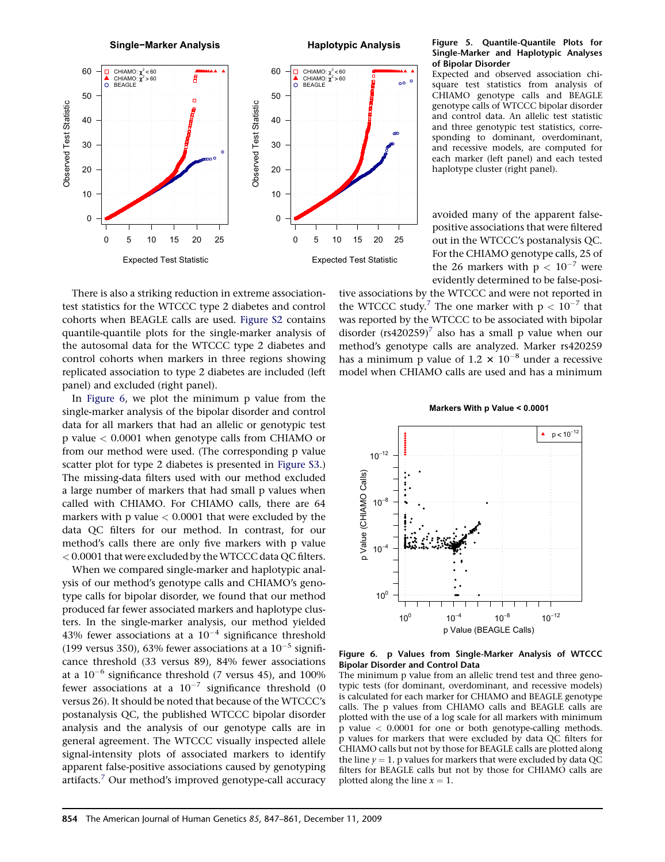<span id="page-7-0"></span>

#### Figure 5. Quantile-Quantile Plots for Single-Marker and Haplotypic Analyses of Bipolar Disorder

Expected and observed association chisquare test statistics from analysis of CHIAMO genotype calls and BEAGLE genotype calls of WTCCC bipolar disorder and control data. An allelic test statistic and three genotypic test statistics, corresponding to dominant, overdominant, and recessive models, are computed for each marker (left panel) and each tested haplotype cluster (right panel).

avoided many of the apparent falsepositive associations that were filtered out in the WTCCC's postanalysis QC. For the CHIAMO genotype calls, 25 of the 26 markers with  $p < 10^{-7}$  were evidently determined to be false-posi-

There is also a striking reduction in extreme associationtest statistics for the WTCCC type 2 diabetes and control cohorts when BEAGLE calls are used. [Figure S2](#page-12-0) contains quantile-quantile plots for the single-marker analysis of the autosomal data for the WTCCC type 2 diabetes and control cohorts when markers in three regions showing replicated association to type 2 diabetes are included (left panel) and excluded (right panel).

In Figure 6, we plot the minimum p value from the single-marker analysis of the bipolar disorder and control data for all markers that had an allelic or genotypic test p value < 0.0001 when genotype calls from CHIAMO or from our method were used. (The corresponding p value scatter plot for type 2 diabetes is presented in [Figure S3.](#page-12-0)) The missing-data filters used with our method excluded a large number of markers that had small p values when called with CHIAMO. For CHIAMO calls, there are 64 markers with p value  $< 0.0001$  that were excluded by the data QC filters for our method. In contrast, for our method's calls there are only five markers with p value < 0.0001 that were excluded by the WTCCC data QC filters.

When we compared single-marker and haplotypic analysis of our method's genotype calls and CHIAMO's genotype calls for bipolar disorder, we found that our method produced far fewer associated markers and haplotype clusters. In the single-marker analysis, our method yielded 43% fewer associations at a  $10^{-4}$  significance threshold (199 versus 350), 63% fewer associations at a  $10^{-5}$  significance threshold (33 versus 89), 84% fewer associations at a  $10^{-6}$  significance threshold (7 versus 45), and  $100\%$ fewer associations at a  $10^{-7}$  significance threshold (0 versus 26). It should be noted that because of the WTCCC's postanalysis QC, the published WTCCC bipolar disorder analysis and the analysis of our genotype calls are in general agreement. The WTCCC visually inspected allele signal-intensity plots of associated markers to identify apparent false-positive associations caused by genotyping artifacts.[7](#page-13-0) Our method's improved genotype-call accuracy

tive associations by the WTCCC and were not reported in the WTCCC study.<sup>7</sup> The one marker with  $p < 10^{-7}$  that was reported by the WTCCC to be associated with bipolar disorder (rs420259)<sup>[7](#page-13-0)</sup> also has a small p value when our method's genotype calls are analyzed. Marker rs420259 has a minimum p value of 1.2  $\times$  10<sup>-8</sup> under a recessive model when CHIAMO calls are used and has a minimum



#### Figure 6. p Values from Single-Marker Analysis of WTCCC Bipolar Disorder and Control Data

The minimum p value from an allelic trend test and three genotypic tests (for dominant, overdominant, and recessive models) is calculated for each marker for CHIAMO and BEAGLE genotype calls. The p values from CHIAMO calls and BEAGLE calls are plotted with the use of a log scale for all markers with minimum p value < 0.0001 for one or both genotype-calling methods. p values for markers that were excluded by data QC filters for CHIAMO calls but not by those for BEAGLE calls are plotted along the line  $y = 1$ . p values for markers that were excluded by data QC filters for BEAGLE calls but not by those for CHIAMO calls are plotted along the line  $x = 1$ .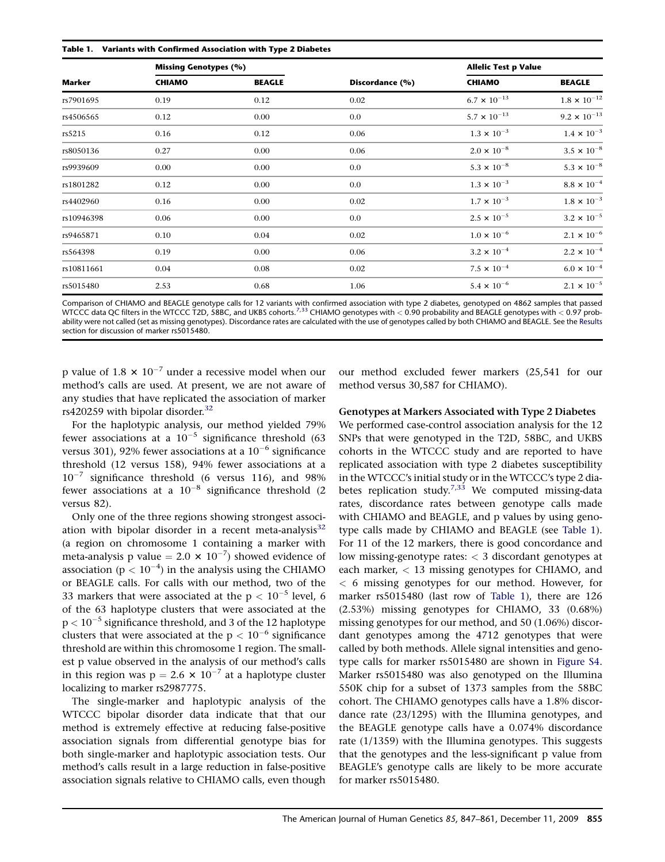#### Table 1. Variants with Confirmed Association with Type 2 Diabetes

| Marker     | <b>Missing Genotypes (%)</b> |               |                 | <b>Allelic Test p Value</b> |                       |
|------------|------------------------------|---------------|-----------------|-----------------------------|-----------------------|
|            | <b>CHIAMO</b>                | <b>BEAGLE</b> | Discordance (%) | <b>CHIAMO</b>               | <b>BEAGLE</b>         |
| rs7901695  | 0.19                         | 0.12          | 0.02            | $6.7 \times 10^{-13}$       | $1.8 \times 10^{-12}$ |
| rs4506565  | 0.12                         | 0.00          | 0.0             | $5.7 \times 10^{-13}$       | $9.2 \times 10^{-13}$ |
| rs5215     | 0.16                         | 0.12          | 0.06            | $1.3 \times 10^{-3}$        | $1.4 \times 10^{-3}$  |
| rs8050136  | 0.27                         | 0.00          | 0.06            | $2.0 \times 10^{-8}$        | $3.5 \times 10^{-8}$  |
| rs9939609  | 0.00                         | 0.00          | $0.0\,$         | $5.3 \times 10^{-8}$        | $5.3\times10^{-8}$    |
| rs1801282  | 0.12                         | 0.00          | 0.0             | $1.3 \times 10^{-3}$        | $8.8\times10^{-4}$    |
| rs4402960  | 0.16                         | 0.00          | 0.02            | $1.7 \times 10^{-3}$        | $1.8 \times 10^{-3}$  |
| rs10946398 | 0.06                         | 0.00          | 0.0             | $2.5 \times 10^{-5}$        | $3.2\times10^{-5}$    |
| rs9465871  | 0.10                         | 0.04          | 0.02            | $1.0 \times 10^{-6}$        | $2.1\times10^{-6}$    |
| rs564398   | 0.19                         | 0.00          | 0.06            | $3.2 \times 10^{-4}$        | $2.2\times10^{-4}$    |
| rs10811661 | 0.04                         | 0.08          | 0.02            | $7.5 \times 10^{-4}$        | $6.0\times10^{-4}$    |
| rs5015480  | 2.53                         | 0.68          | 1.06            | $5.4\times10^{-6}$          | $2.1 \times 10^{-5}$  |

Comparison of CHIAMO and BEAGLE genotype calls for 12 variants with confirmed association with type 2 diabetes, genotyped on 4862 samples that passed<br>WTCCC data QC filters in the WTCCC T2D, 58BC, and UKBS cohorts.<sup>[7,33](#page-13-0)</sup> CH ability were not called (set as missing genotypes). Discordance rates are calculated with the use of genotypes called by both CHIAMO and BEAGLE. See the [Results](#page-3-0) section for discussion of marker rs5015480.

p value of  $1.8 \times 10^{-7}$  under a recessive model when our method's calls are used. At present, we are not aware of any studies that have replicated the association of marker rs420259 with bipolar disorder. $32$ 

For the haplotypic analysis, our method yielded 79% fewer associations at a  $10^{-5}$  significance threshold (63 versus 301), 92% fewer associations at a  $10^{-6}$  significance threshold (12 versus 158), 94% fewer associations at a  $10^{-7}$  significance threshold (6 versus 116), and 98% fewer associations at a  $10^{-8}$  significance threshold (2) versus 82).

Only one of the three regions showing strongest associ-ation with bipolar disorder in a recent meta-analysis<sup>[32](#page-14-0)</sup> (a region on chromosome 1 containing a marker with meta-analysis p value =  $2.0 \times 10^{-7}$ ) showed evidence of association ( $p < 10^{-4}$ ) in the analysis using the CHIAMO or BEAGLE calls. For calls with our method, two of the 33 markers that were associated at the  $p < 10^{-5}$  level, 6 of the 63 haplotype clusters that were associated at the  $p < 10^{-5}$  significance threshold, and 3 of the 12 haplotype clusters that were associated at the  $p < 10^{-6}$  significance threshold are within this chromosome 1 region. The smallest p value observed in the analysis of our method's calls in this region was  $p = 2.6 \times 10^{-7}$  at a haplotype cluster localizing to marker rs2987775.

The single-marker and haplotypic analysis of the WTCCC bipolar disorder data indicate that that our method is extremely effective at reducing false-positive association signals from differential genotype bias for both single-marker and haplotypic association tests. Our method's calls result in a large reduction in false-positive association signals relative to CHIAMO calls, even though

our method excluded fewer markers (25,541 for our method versus 30,587 for CHIAMO).

#### Genotypes at Markers Associated with Type 2 Diabetes

We performed case-control association analysis for the 12 SNPs that were genotyped in the T2D, 58BC, and UKBS cohorts in the WTCCC study and are reported to have replicated association with type 2 diabetes susceptibility in the WTCCC's initial study or in the WTCCC's type 2 dia-betes replication study.<sup>[7,33](#page-13-0)</sup> We computed missing-data rates, discordance rates between genotype calls made with CHIAMO and BEAGLE, and p values by using genotype calls made by CHIAMO and BEAGLE (see Table 1). For 11 of the 12 markers, there is good concordance and low missing-genotype rates: < 3 discordant genotypes at each marker, < 13 missing genotypes for CHIAMO, and < 6 missing genotypes for our method. However, for marker rs5015480 (last row of Table 1), there are 126 (2.53%) missing genotypes for CHIAMO, 33 (0.68%) missing genotypes for our method, and 50 (1.06%) discordant genotypes among the 4712 genotypes that were called by both methods. Allele signal intensities and genotype calls for marker rs5015480 are shown in [Figure S4](#page-12-0). Marker rs5015480 was also genotyped on the Illumina 550K chip for a subset of 1373 samples from the 58BC cohort. The CHIAMO genotypes calls have a 1.8% discordance rate (23/1295) with the Illumina genotypes, and the BEAGLE genotype calls have a 0.074% discordance rate (1/1359) with the Illumina genotypes. This suggests that the genotypes and the less-significant p value from BEAGLE's genotype calls are likely to be more accurate for marker rs5015480.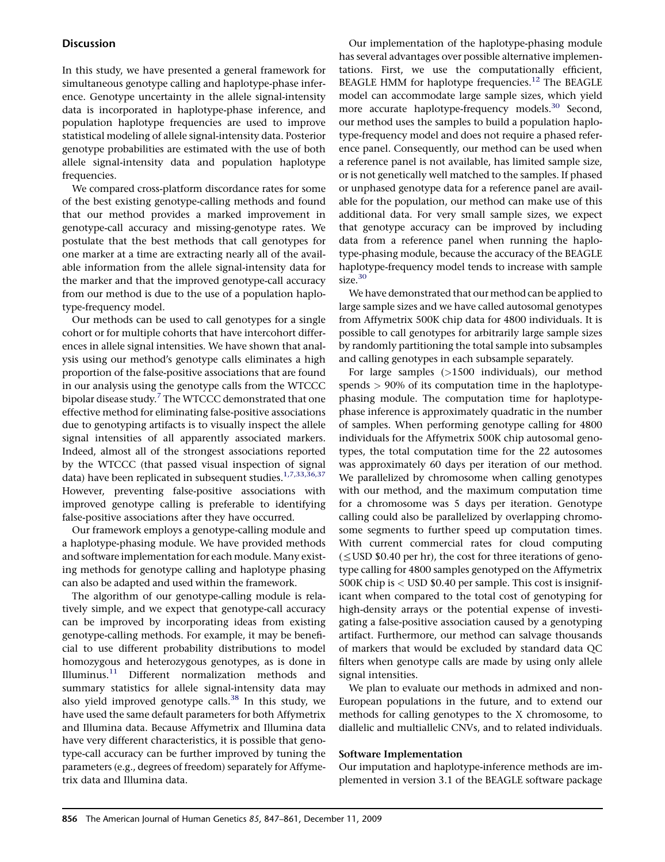## **Discussion**

In this study, we have presented a general framework for simultaneous genotype calling and haplotype-phase inference. Genotype uncertainty in the allele signal-intensity data is incorporated in haplotype-phase inference, and population haplotype frequencies are used to improve statistical modeling of allele signal-intensity data. Posterior genotype probabilities are estimated with the use of both allele signal-intensity data and population haplotype frequencies.

We compared cross-platform discordance rates for some of the best existing genotype-calling methods and found that our method provides a marked improvement in genotype-call accuracy and missing-genotype rates. We postulate that the best methods that call genotypes for one marker at a time are extracting nearly all of the available information from the allele signal-intensity data for the marker and that the improved genotype-call accuracy from our method is due to the use of a population haplotype-frequency model.

Our methods can be used to call genotypes for a single cohort or for multiple cohorts that have intercohort differences in allele signal intensities. We have shown that analysis using our method's genotype calls eliminates a high proportion of the false-positive associations that are found in our analysis using the genotype calls from the WTCCC bipolar disease study.<sup>[7](#page-13-0)</sup> The WTCCC demonstrated that one effective method for eliminating false-positive associations due to genotyping artifacts is to visually inspect the allele signal intensities of all apparently associated markers. Indeed, almost all of the strongest associations reported by the WTCCC (that passed visual inspection of signal data) have been replicated in subsequent studies.<sup>[1,7,33,36,37](#page-13-0)</sup> However, preventing false-positive associations with improved genotype calling is preferable to identifying false-positive associations after they have occurred.

Our framework employs a genotype-calling module and a haplotype-phasing module. We have provided methods and software implementation for each module. Many existing methods for genotype calling and haplotype phasing can also be adapted and used within the framework.

The algorithm of our genotype-calling module is relatively simple, and we expect that genotype-call accuracy can be improved by incorporating ideas from existing genotype-calling methods. For example, it may be beneficial to use different probability distributions to model homozygous and heterozygous genotypes, as is done in Illuminus.[11](#page-13-0) Different normalization methods and summary statistics for allele signal-intensity data may also yield improved genotype calls. $38$  In this study, we have used the same default parameters for both Affymetrix and Illumina data. Because Affymetrix and Illumina data have very different characteristics, it is possible that genotype-call accuracy can be further improved by tuning the parameters (e.g., degrees of freedom) separately for Affymetrix data and Illumina data.

Our implementation of the haplotype-phasing module has several advantages over possible alternative implementations. First, we use the computationally efficient, BEAGLE HMM for haplotype frequencies.<sup>[12](#page-13-0)</sup> The BEAGLE model can accommodate large sample sizes, which yield more accurate haplotype-frequency models.<sup>[30](#page-14-0)</sup> Second, our method uses the samples to build a population haplotype-frequency model and does not require a phased reference panel. Consequently, our method can be used when a reference panel is not available, has limited sample size, or is not genetically well matched to the samples. If phased or unphased genotype data for a reference panel are available for the population, our method can make use of this additional data. For very small sample sizes, we expect that genotype accuracy can be improved by including data from a reference panel when running the haplotype-phasing module, because the accuracy of the BEAGLE haplotype-frequency model tends to increase with sample size. $30$ 

We have demonstrated that our method can be applied to large sample sizes and we have called autosomal genotypes from Affymetrix 500K chip data for 4800 individuals. It is possible to call genotypes for arbitrarily large sample sizes by randomly partitioning the total sample into subsamples and calling genotypes in each subsample separately.

For large samples (>1500 individuals), our method spends > 90% of its computation time in the haplotypephasing module. The computation time for haplotypephase inference is approximately quadratic in the number of samples. When performing genotype calling for 4800 individuals for the Affymetrix 500K chip autosomal genotypes, the total computation time for the 22 autosomes was approximately 60 days per iteration of our method. We parallelized by chromosome when calling genotypes with our method, and the maximum computation time for a chromosome was 5 days per iteration. Genotype calling could also be parallelized by overlapping chromosome segments to further speed up computation times. With current commercial rates for cloud computing  $(\leq$ USD \$0.40 per hr), the cost for three iterations of genotype calling for 4800 samples genotyped on the Affymetrix 500K chip is < USD \$0.40 per sample. This cost is insignificant when compared to the total cost of genotyping for high-density arrays or the potential expense of investigating a false-positive association caused by a genotyping artifact. Furthermore, our method can salvage thousands of markers that would be excluded by standard data QC filters when genotype calls are made by using only allele signal intensities.

We plan to evaluate our methods in admixed and non-European populations in the future, and to extend our methods for calling genotypes to the X chromosome, to diallelic and multiallelic CNVs, and to related individuals.

#### Software Implementation

Our imputation and haplotype-inference methods are implemented in version 3.1 of the BEAGLE software package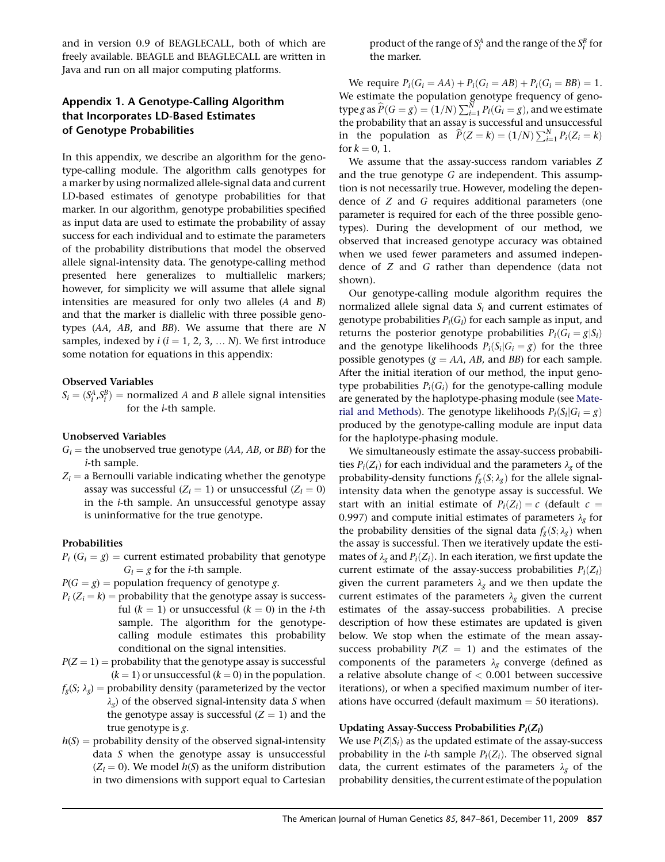<span id="page-10-0"></span>and in version 0.9 of BEAGLECALL, both of which are freely available. BEAGLE and BEAGLECALL are written in Java and run on all major computing platforms.

# Appendix 1. A Genotype-Calling Algorithm that Incorporates LD-Based Estimates of Genotype Probabilities

In this appendix, we describe an algorithm for the genotype-calling module. The algorithm calls genotypes for a marker by using normalized allele-signal data and current LD-based estimates of genotype probabilities for that marker. In our algorithm, genotype probabilities specified as input data are used to estimate the probability of assay success for each individual and to estimate the parameters of the probability distributions that model the observed allele signal-intensity data. The genotype-calling method presented here generalizes to multiallelic markers; however, for simplicity we will assume that allele signal intensities are measured for only two alleles  $(A \text{ and } B)$ and that the marker is diallelic with three possible genotypes  $(AA, AB, and BB)$ . We assume that there are N samples, indexed by  $i$  ( $i = 1, 2, 3, ... N$ ). We first introduce some notation for equations in this appendix:

## Observed Variables

 $S_i = (S_i^A, S_i^B)$  = normalized A and B allele signal intensities for the i-th sample.

## Unobserved Variables

- $G_i$  = the unobserved true genotype (AA, AB, or BB) for the i-th sample.
- $Z_i$  = a Bernoulli variable indicating whether the genotype assay was successful ( $Z_i = 1$ ) or unsuccessful ( $Z_i = 0$ ) in the i-th sample. An unsuccessful genotype assay is uninformative for the true genotype.

## Probabilities

- $P_i$  ( $G_i = g$ ) = current estimated probability that genotype  $G_i = g$  for the *i*-th sample.
- $P(G = g)$  = population frequency of genotype g.
- $P_i (Z_i = k) =$  probability that the genotype assay is successful  $(k = 1)$  or unsuccessful  $(k = 0)$  in the *i*-th sample. The algorithm for the genotypecalling module estimates this probability conditional on the signal intensities.
- $P(Z = 1)$  = probability that the genotype assay is successful  $(k = 1)$  or unsuccessful  $(k = 0)$  in the population.
- $f_g(S; \lambda_g)$  = probability density (parameterized by the vector  $\lambda_g$ ) of the observed signal-intensity data S when the genotype assay is successful  $(Z = 1)$  and the true genotype is g.
- $h(S)$  = probability density of the observed signal-intensity data S when the genotype assay is unsuccessful  $(Z<sub>i</sub> = 0)$ . We model  $h(S)$  as the uniform distribution in two dimensions with support equal to Cartesian

product of the range of  $S_i^A$  and the range of the  $S_i^B$  for the marker.

We require  $P_i(G_i = AA) + P_i(G_i = AB) + P_i(G_i = BB) = 1$ . We estimate the population genotype frequency of genotype g as  $\widehat{P}(G = g) = (1/N) \sum_{i=1}^{N} P_i(G_i = g)$ , and we estimate the probability that an assay is successful and unsuccessful in the population as  $\hat{P}(Z = k) = (1/N) \sum_{i=1}^{N} P_i(Z_i = k)$ for  $k = 0, 1$ .

We assume that the assay-success random variables Z and the true genotype G are independent. This assumption is not necessarily true. However, modeling the dependence of Z and G requires additional parameters (one parameter is required for each of the three possible genotypes). During the development of our method, we observed that increased genotype accuracy was obtained when we used fewer parameters and assumed independence of Z and G rather than dependence (data not shown).

Our genotype-calling module algorithm requires the normalized allele signal data  $S_i$  and current estimates of genotype probabilities  $P_i(G_i)$  for each sample as input, and returns the posterior genotype probabilities  $P_i(G_i = g | S_i)$ and the genotype likelihoods  $P_i(S_i|G_i = g)$  for the three possible genotypes ( $g = AA$ , AB, and BB) for each sample. After the initial iteration of our method, the input genotype probabilities  $P_i(G_i)$  for the genotype-calling module are generated by the haplotype-phasing module (see [Mate](#page-1-0)[rial and Methods](#page-1-0)). The genotype likelihoods  $P_i(S_i|G_i = g)$ produced by the genotype-calling module are input data for the haplotype-phasing module.

We simultaneously estimate the assay-success probabilities  $P_i(Z_i)$  for each individual and the parameters  $\lambda_g$  of the probability-density functions  $f_g(S; \lambda_g)$  for the allele signalintensity data when the genotype assay is successful. We start with an initial estimate of  $P_i(Z_i) = c$  (default  $c =$ 0.997) and compute initial estimates of parameters  $\lambda_{\rm g}$  for the probability densities of the signal data  $f_g(S; \lambda_g)$  when the assay is successful. Then we iteratively update the estimates of  $\lambda_g$  and  $P_i(Z_i)$ . In each iteration, we first update the current estimate of the assay-success probabilities  $P_i(Z_i)$ given the current parameters  $\lambda_g$  and we then update the current estimates of the parameters  $\lambda_g$  given the current estimates of the assay-success probabilities. A precise description of how these estimates are updated is given below. We stop when the estimate of the mean assaysuccess probability  $P(Z = 1)$  and the estimates of the components of the parameters  $\lambda_g$  converge (defined as a relative absolute change of < 0.001 between successive iterations), or when a specified maximum number of iterations have occurred (default maximum  $=$  50 iterations).

## Updating Assay-Success Probabilities  $P_i(Z_i)$

We use  $P(Z|S_i)$  as the updated estimate of the assay-success probability in the *i*-th sample  $P_i(Z_i)$ . The observed signal data, the current estimates of the parameters  $\lambda_g$  of the probability densities, the current estimate of the population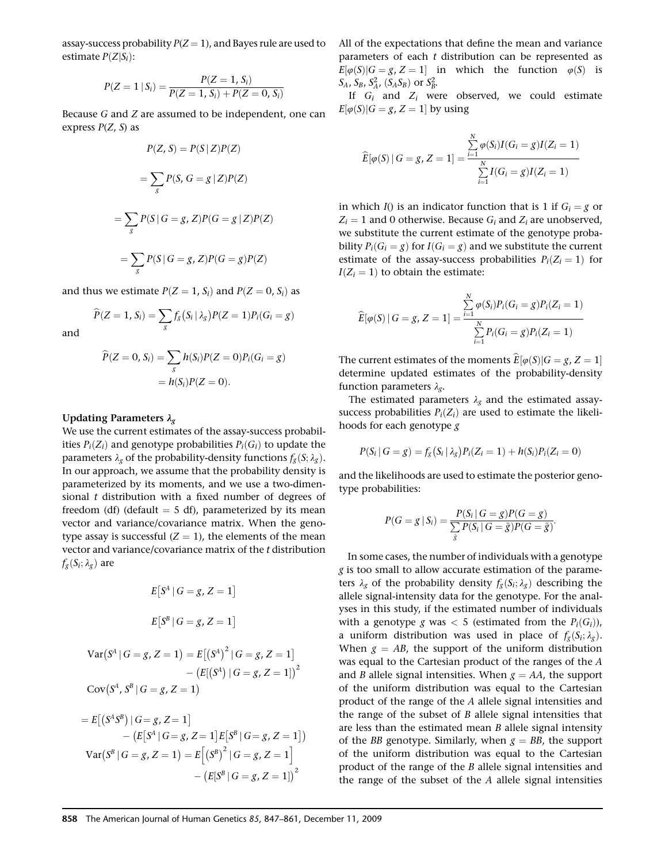assay-success probability  $P(Z = 1)$ , and Bayes rule are used to estimate  $P(Z|S_i)$ :

$$
P(Z = 1 | S_i) = \frac{P(Z = 1, S_i)}{P(Z = 1, S_i) + P(Z = 0, S_i)}
$$

Because G and Z are assumed to be independent, one can express  $P(Z, S)$  as

$$
P(Z, S) = P(S | Z)P(Z)
$$

$$
= \sum_{g} P(S, G = g | Z)P(Z)
$$

$$
= \sum_{g} P(S | G = g, Z)P(G = g | Z)P(Z)
$$

$$
= \sum_{g} P(S | G = g, Z)P(G = g)P(Z)
$$

and thus we estimate  $P(Z = 1, S_i)$  and  $P(Z = 0, S_i)$  as

$$
\widehat{P}(Z=1, S_i) = \sum_{g} f_g(S_i | \lambda_g) P(Z=1) P_i(G_i=g)
$$

and

$$
\widehat{P}(Z=0, S_i) = \sum_{g} h(S_i)P(Z=0)P_i(G_i=g)
$$

$$
= h(S_i)P(Z=0).
$$

#### Updating Parameters  $\lambda_g$

We use the current estimates of the assay-success probabilities  $P_i(Z_i)$  and genotype probabilities  $P_i(G_i)$  to update the parameters  $\lambda_g$  of the probability-density functions  $f_g(S; \lambda_g)$ . In our approach, we assume that the probability density is parameterized by its moments, and we use a two-dimensional t distribution with a fixed number of degrees of freedom (df) (default  $=$  5 df), parameterized by its mean vector and variance/covariance matrix. When the genotype assay is successful  $(Z = 1)$ , the elements of the mean vector and variance/covariance matrix of the t distribution  $f_g(S_i; \lambda_g)$  are

$$
E[SA | G = g, Z = 1]
$$
  
\n
$$
E[SB | G = g, Z = 1]
$$
  
\n
$$
Var(SA | G = g, Z = 1) = E[(SA)2 | G = g, Z = 1]
$$
  
\n
$$
- (E[(SA) | G = g, Z = 1])2
$$
  
\n
$$
Cov(SA, SB | G = g, Z = 1)
$$

$$
= E[(S^A S^B) | G = g, Z = 1]
$$
  
\n
$$
- (E[S^A | G = g, Z = 1] E[S^B | G = g, Z = 1])
$$
  
\n
$$
Var(S^B | G = g, Z = 1) = E[(S^B)^2 | G = g, Z = 1]
$$
  
\n
$$
- (E[S^B | G = g, Z = 1])^2
$$

All of the expectations that define the mean and variance parameters of each  $t$  distribution can be represented as  $E[\varphi(S)|G = g, Z = 1]$  in which the function  $\varphi(S)$  is  $S_A$ ,  $S_B$ ,  $S_A^2$ ,  $(S_A S_B)$  or  $S_B^2$ .

If  $G_i$  and  $Z_i$  were observed, we could estimate  $E[\varphi(S)|G = g, Z = 1]$  by using

$$
\widehat{E}[\varphi(S) | G = g, Z = 1] = \frac{\sum_{i=1}^{N} \varphi(S_i) I(G_i = g) I(Z_i = 1)}{\sum_{i=1}^{N} I(G_i = g) I(Z_i = 1)}
$$

in which I() is an indicator function that is 1 if  $G_i = g$  or  $Z_i = 1$  and 0 otherwise. Because  $G_i$  and  $Z_i$  are unobserved, we substitute the current estimate of the genotype probability  $P_i(G_i = g)$  for  $I(G_i = g)$  and we substitute the current estimate of the assay-success probabilities  $P_i(Z_i = 1)$  for  $I(Z_i = 1)$  to obtain the estimate:

$$
\widehat{E}[\varphi(S) | G = g, Z = 1] = \frac{\sum_{i=1}^{N} \varphi(S_i) P_i(G_i = g) P_i(Z_i = 1)}{\sum_{i=1}^{N} P_i(G_i = g) P_i(Z_i = 1)}
$$

The current estimates of the moments  $\widehat{E}[\varphi(S)|G = g, Z = 1]$ determine updated estimates of the probability-density function parameters  $\lambda_{g}$ .

The estimated parameters  $\lambda_g$  and the estimated assaysuccess probabilities  $P_i(Z_i)$  are used to estimate the likelihoods for each genotype  $g$ 

$$
P(S_i | G = g) = f_g(S_i | \lambda_g) P_i(Z_i = 1) + h(S_i) P_i(Z_i = 0)
$$

and the likelihoods are used to estimate the posterior genotype probabilities:

$$
P(G = g | S_i) = \frac{P(S_i | G = g)P(G = g)}{\sum_{\tilde{g}} P(S_i | G = \tilde{g})P(G = \tilde{g})}.
$$

In some cases, the number of individuals with a genotype  $g$  is too small to allow accurate estimation of the parameters  $\lambda_g$  of the probability density  $f_g(S_i; \lambda_g)$  describing the allele signal-intensity data for the genotype. For the analyses in this study, if the estimated number of individuals with a genotype g was  $< 5$  (estimated from the  $P_i(G_i)$ ), a uniform distribution was used in place of  $f_g(S_i; \lambda_g)$ . When  $g = AB$ , the support of the uniform distribution was equal to the Cartesian product of the ranges of the A and B allele signal intensities. When  $g = AA$ , the support of the uniform distribution was equal to the Cartesian product of the range of the A allele signal intensities and the range of the subset of  $B$  allele signal intensities that are less than the estimated mean  $B$  allele signal intensity of the BB genotype. Similarly, when  $g = BB$ , the support of the uniform distribution was equal to the Cartesian product of the range of the B allele signal intensities and the range of the subset of the  $A$  allele signal intensities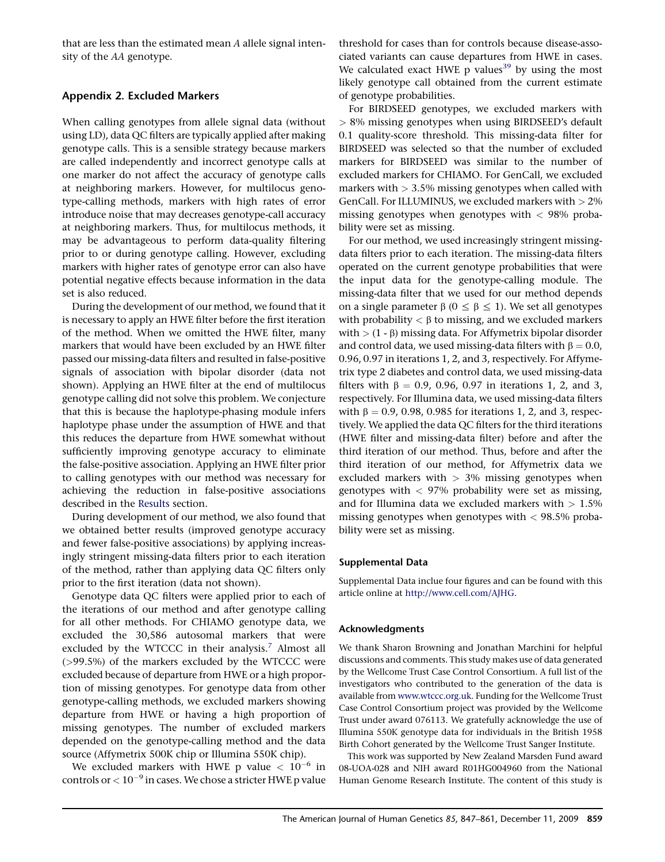<span id="page-12-0"></span>that are less than the estimated mean A allele signal intensity of the AA genotype.

## Appendix 2. Excluded Markers

When calling genotypes from allele signal data (without using LD), data QC filters are typically applied after making genotype calls. This is a sensible strategy because markers are called independently and incorrect genotype calls at one marker do not affect the accuracy of genotype calls at neighboring markers. However, for multilocus genotype-calling methods, markers with high rates of error introduce noise that may decreases genotype-call accuracy at neighboring markers. Thus, for multilocus methods, it may be advantageous to perform data-quality filtering prior to or during genotype calling. However, excluding markers with higher rates of genotype error can also have potential negative effects because information in the data set is also reduced.

During the development of our method, we found that it is necessary to apply an HWE filter before the first iteration of the method. When we omitted the HWE filter, many markers that would have been excluded by an HWE filter passed our missing-data filters and resulted in false-positive signals of association with bipolar disorder (data not shown). Applying an HWE filter at the end of multilocus genotype calling did not solve this problem. We conjecture that this is because the haplotype-phasing module infers haplotype phase under the assumption of HWE and that this reduces the departure from HWE somewhat without sufficiently improving genotype accuracy to eliminate the false-positive association. Applying an HWE filter prior to calling genotypes with our method was necessary for achieving the reduction in false-positive associations described in the [Results](#page-3-0) section.

During development of our method, we also found that we obtained better results (improved genotype accuracy and fewer false-positive associations) by applying increasingly stringent missing-data filters prior to each iteration of the method, rather than applying data QC filters only prior to the first iteration (data not shown).

Genotype data QC filters were applied prior to each of the iterations of our method and after genotype calling for all other methods. For CHIAMO genotype data, we excluded the 30,586 autosomal markers that were excluded by the WTCCC in their analysis.<sup>[7](#page-13-0)</sup> Almost all (>99.5%) of the markers excluded by the WTCCC were excluded because of departure from HWE or a high proportion of missing genotypes. For genotype data from other genotype-calling methods, we excluded markers showing departure from HWE or having a high proportion of missing genotypes. The number of excluded markers depended on the genotype-calling method and the data source (Affymetrix 500K chip or Illumina 550K chip).

We excluded markers with HWE p value  $< 10^{-6}$  in controls or  $<$   $10^{-9}$  in cases. We chose a stricter HWE p value threshold for cases than for controls because disease-associated variants can cause departures from HWE in cases. We calculated exact HWE  $p$  values<sup>[39](#page-14-0)</sup> by using the most likely genotype call obtained from the current estimate of genotype probabilities.

For BIRDSEED genotypes, we excluded markers with > 8% missing genotypes when using BIRDSEED's default 0.1 quality-score threshold. This missing-data filter for BIRDSEED was selected so that the number of excluded markers for BIRDSEED was similar to the number of excluded markers for CHIAMO. For GenCall, we excluded markers with  $> 3.5\%$  missing genotypes when called with GenCall. For ILLUMINUS, we excluded markers with > 2% missing genotypes when genotypes with  $<$  98% probability were set as missing.

For our method, we used increasingly stringent missingdata filters prior to each iteration. The missing-data filters operated on the current genotype probabilities that were the input data for the genotype-calling module. The missing-data filter that we used for our method depends on a single parameter  $\beta$  ( $0 \le \beta \le 1$ ). We set all genotypes with probability  $< \beta$  to missing, and we excluded markers with  $>(1 - \beta)$  missing data. For Affymetrix bipolar disorder and control data, we used missing-data filters with  $\beta = 0.0$ , 0.96, 0.97 in iterations 1, 2, and 3, respectively. For Affymetrix type 2 diabetes and control data, we used missing-data filters with  $\beta = 0.9$ , 0.96, 0.97 in iterations 1, 2, and 3, respectively. For Illumina data, we used missing-data filters with  $\beta = 0.9$ , 0.98, 0.985 for iterations 1, 2, and 3, respectively. We applied the data QC filters for the third iterations (HWE filter and missing-data filter) before and after the third iteration of our method. Thus, before and after the third iteration of our method, for Affymetrix data we excluded markers with  $> 3\%$  missing genotypes when genotypes with  $\langle 97\%$  probability were set as missing, and for Illumina data we excluded markers with  $> 1.5\%$ missing genotypes when genotypes with  $<$  98.5% probability were set as missing.

## Supplemental Data

Supplemental Data inclue four figures and can be found with this article online at [http://www.cell.com/AJHG.](http://www.cell.com/AJHG)

## Acknowledgments

We thank Sharon Browning and Jonathan Marchini for helpful discussions and comments. This study makes use of data generated by the Wellcome Trust Case Control Consortium. A full list of the investigators who contributed to the generation of the data is available from [www.wtccc.org.uk.](http://www.wtccc.org.uk) Funding for the Wellcome Trust Case Control Consortium project was provided by the Wellcome Trust under award 076113. We gratefully acknowledge the use of Illumina 550K genotype data for individuals in the British 1958 Birth Cohort generated by the Wellcome Trust Sanger Institute.

This work was supported by New Zealand Marsden Fund award 08-UOA-028 and NIH award R01HG004960 from the National Human Genome Research Institute. The content of this study is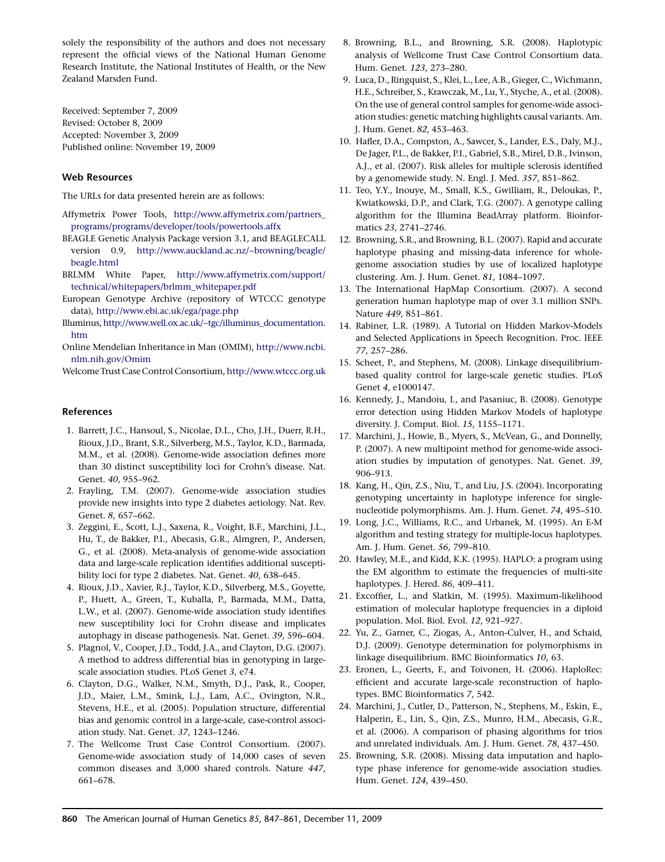<span id="page-13-0"></span>solely the responsibility of the authors and does not necessary represent the official views of the National Human Genome Research Institute, the National Institutes of Health, or the New Zealand Marsden Fund.

Received: September 7, 2009 Revised: October 8, 2009 Accepted: November 3, 2009 Published online: November 19, 2009

#### Web Resources

The URLs for data presented herein are as follows:

- Affymetrix Power Tools, [http://www.affymetrix.com/partners\\_](http://www.affymetrix.com/partners_programs/programs/developer/tools/powertools.affx) [programs/programs/developer/tools/powertools.affx](http://www.affymetrix.com/partners_programs/programs/developer/tools/powertools.affx)
- BEAGLE Genetic Analysis Package version 3.1, and BEAGLECALL version 0.9, [http://www.auckland.ac.nz/~browning/beagle/](http://www.auckland.ac.nz/~browning/beagle/beagle.html) [beagle.html](http://www.auckland.ac.nz/~browning/beagle/beagle.html)
- BRLMM White Paper, [http://www.affymetrix.com/support/](http://www.affymetrix.com/support/technical/whitepapers/brlmm_whitepaper.pdf) [technical/whitepapers/brlmm\\_whitepaper.pdf](http://www.affymetrix.com/support/technical/whitepapers/brlmm_whitepaper.pdf)
- European Genotype Archive (repository of WTCCC genotype data), <http://www.ebi.ac.uk/ega/page.php>
- Illuminus, [http://www.well.ox.ac.uk/~tgc/illuminus\\_documentation.](http://www.well.ox.ac.uk/~tgc/illuminus_documentation.htm) [htm](http://www.well.ox.ac.uk/~tgc/illuminus_documentation.htm)
- Online Mendelian Inheritance in Man (OMIM), [http://www.ncbi.](http://www.ncbi.nlm.nih.gov/Omim) [nlm.nih.gov/Omim](http://www.ncbi.nlm.nih.gov/Omim)

Welcome Trust Case Control Consortium, <http://www.wtccc.org.uk>

#### References

- 1. Barrett, J.C., Hansoul, S., Nicolae, D.L., Cho, J.H., Duerr, R.H., Rioux, J.D., Brant, S.R., Silverberg, M.S., Taylor, K.D., Barmada, M.M., et al. (2008). Genome-wide association defines more than 30 distinct susceptibility loci for Crohn's disease. Nat. Genet. 40, 955–962.
- 2. Frayling, T.M. (2007). Genome-wide association studies provide new insights into type 2 diabetes aetiology. Nat. Rev. Genet. 8, 657–662.
- 3. Zeggini, E., Scott, L.J., Saxena, R., Voight, B.F., Marchini, J.L., Hu, T., de Bakker, P.I., Abecasis, G.R., Almgren, P., Andersen, G., et al. (2008). Meta-analysis of genome-wide association data and large-scale replication identifies additional susceptibility loci for type 2 diabetes. Nat. Genet. 40, 638–645.
- 4. Rioux, J.D., Xavier, R.J., Taylor, K.D., Silverberg, M.S., Goyette, P., Huett, A., Green, T., Kuballa, P., Barmada, M.M., Datta, L.W., et al. (2007). Genome-wide association study identifies new susceptibility loci for Crohn disease and implicates autophagy in disease pathogenesis. Nat. Genet. 39, 596–604.
- 5. Plagnol, V., Cooper, J.D., Todd, J.A., and Clayton, D.G. (2007). A method to address differential bias in genotyping in largescale association studies. PLoS Genet 3, e74.
- 6. Clayton, D.G., Walker, N.M., Smyth, D.J., Pask, R., Cooper, J.D., Maier, L.M., Smink, L.J., Lam, A.C., Ovington, N.R., Stevens, H.E., et al. (2005). Population structure, differential bias and genomic control in a large-scale, case-control association study. Nat. Genet. 37, 1243–1246.
- 7. The Wellcome Trust Case Control Consortium. (2007). Genome-wide association study of 14,000 cases of seven common diseases and 3,000 shared controls. Nature 447, 661–678.
- 8. Browning, B.L., and Browning, S.R. (2008). Haplotypic analysis of Wellcome Trust Case Control Consortium data. Hum. Genet. 123, 273–280.
- 9. Luca, D., Ringquist, S., Klei, L., Lee, A.B., Gieger, C.,Wichmann, H.E., Schreiber, S., Krawczak, M., Lu, Y., Styche, A., et al. (2008). On the use of general control samples for genome-wide association studies: genetic matching highlights causal variants. Am. J. Hum. Genet. 82, 453–463.
- 10. Hafler, D.A., Compston, A., Sawcer, S., Lander, E.S., Daly, M.J., De Jager, P.L., de Bakker, P.I., Gabriel, S.B., Mirel, D.B., Ivinson, A.J., et al. (2007). Risk alleles for multiple sclerosis identified by a genomewide study. N. Engl. J. Med. 357, 851–862.
- 11. Teo, Y.Y., Inouye, M., Small, K.S., Gwilliam, R., Deloukas, P., Kwiatkowski, D.P., and Clark, T.G. (2007). A genotype calling algorithm for the Illumina BeadArray platform. Bioinformatics 23, 2741–2746.
- 12. Browning, S.R., and Browning, B.L. (2007). Rapid and accurate haplotype phasing and missing-data inference for wholegenome association studies by use of localized haplotype clustering. Am. J. Hum. Genet. 81, 1084–1097.
- 13. The International HapMap Consortium. (2007). A second generation human haplotype map of over 3.1 million SNPs. Nature 449, 851–861.
- 14. Rabiner, L.R. (1989). A Tutorial on Hidden Markov-Models and Selected Applications in Speech Recognition. Proc. IEEE 77, 257–286.
- 15. Scheet, P., and Stephens, M. (2008). Linkage disequilibriumbased quality control for large-scale genetic studies. PLoS Genet 4, e1000147.
- 16. Kennedy, J., Mandoiu, I., and Pasaniuc, B. (2008). Genotype error detection using Hidden Markov Models of haplotype diversity. J. Comput. Biol. 15, 1155–1171.
- 17. Marchini, J., Howie, B., Myers, S., McVean, G., and Donnelly, P. (2007). A new multipoint method for genome-wide association studies by imputation of genotypes. Nat. Genet. 39, 906–913.
- 18. Kang, H., Qin, Z.S., Niu, T., and Liu, J.S. (2004). Incorporating genotyping uncertainty in haplotype inference for singlenucleotide polymorphisms. Am. J. Hum. Genet. 74, 495–510.
- 19. Long, J.C., Williams, R.C., and Urbanek, M. (1995). An E-M algorithm and testing strategy for multiple-locus haplotypes. Am. J. Hum. Genet. 56, 799–810.
- 20. Hawley, M.E., and Kidd, K.K. (1995). HAPLO: a program using the EM algorithm to estimate the frequencies of multi-site haplotypes. J. Hered. 86, 409–411.
- 21. Excoffier, L., and Slatkin, M. (1995). Maximum-likelihood estimation of molecular haplotype frequencies in a diploid population. Mol. Biol. Evol. 12, 921–927.
- 22. Yu, Z., Garner, C., Ziogas, A., Anton-Culver, H., and Schaid, D.J. (2009). Genotype determination for polymorphisms in linkage disequilibrium. BMC Bioinformatics 10, 63.
- 23. Eronen, L., Geerts, F., and Toivonen, H. (2006). HaploRec: efficient and accurate large-scale reconstruction of haplotypes. BMC Bioinformatics 7, 542.
- 24. Marchini, J., Cutler, D., Patterson, N., Stephens, M., Eskin, E., Halperin, E., Lin, S., Qin, Z.S., Munro, H.M., Abecasis, G.R., et al. (2006). A comparison of phasing algorithms for trios and unrelated individuals. Am. J. Hum. Genet. 78, 437–450.
- 25. Browning, S.R. (2008). Missing data imputation and haplotype phase inference for genome-wide association studies. Hum. Genet. 124, 439–450.